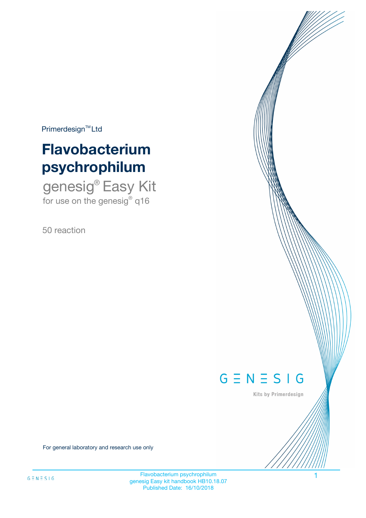$Primerdesign^{\text{TM}}Ltd$ 

# **Flavobacterium psychrophilum**

genesig® Easy Kit for use on the genesig® q16

50 reaction



Kits by Primerdesign

For general laboratory and research use only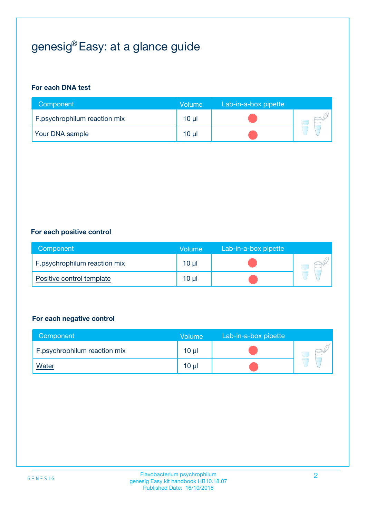# genesig® Easy: at a glance guide

#### **For each DNA test**

| Component                    | <b>Volume</b> | Lab-in-a-box pipette |  |
|------------------------------|---------------|----------------------|--|
| F.psychrophilum reaction mix | $10 \mu$      |                      |  |
| <b>Your DNA sample</b>       | 10 µl         |                      |  |

#### **For each positive control**

| Component                    | Volume   | Lab-in-a-box pipette |  |
|------------------------------|----------|----------------------|--|
| F.psychrophilum reaction mix | 10 µl    |                      |  |
| Positive control template    | $10 \mu$ |                      |  |

#### **For each negative control**

| Component                    | Volume          | Lab-in-a-box pipette |  |
|------------------------------|-----------------|----------------------|--|
| F.psychrophilum reaction mix | $10 \mu$        |                      |  |
| <u>Water</u>                 | 10 <sub>µ</sub> |                      |  |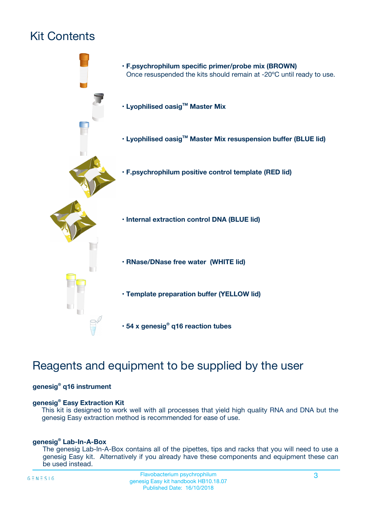# Kit Contents



## Reagents and equipment to be supplied by the user

#### **genesig® q16 instrument**

#### **genesig® Easy Extraction Kit**

This kit is designed to work well with all processes that yield high quality RNA and DNA but the genesig Easy extraction method is recommended for ease of use.

#### **genesig® Lab-In-A-Box**

The genesig Lab-In-A-Box contains all of the pipettes, tips and racks that you will need to use a genesig Easy kit. Alternatively if you already have these components and equipment these can be used instead.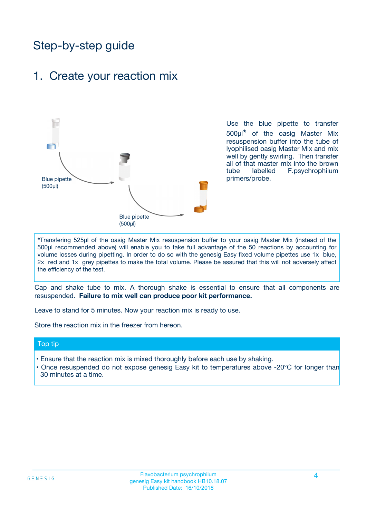## Step-by-step guide

### 1. Create your reaction mix



Use the blue pipette to transfer 500µl**\*** of the oasig Master Mix resuspension buffer into the tube of lyophilised oasig Master Mix and mix well by gently swirling. Then transfer all of that master mix into the brown tube labelled F.psychrophilum primers/probe.

**\***Transfering 525µl of the oasig Master Mix resuspension buffer to your oasig Master Mix (instead of the 500µl recommended above) will enable you to take full advantage of the 50 reactions by accounting for volume losses during pipetting. In order to do so with the genesig Easy fixed volume pipettes use 1x blue, 2x red and 1x grey pipettes to make the total volume. Please be assured that this will not adversely affect the efficiency of the test.

Cap and shake tube to mix. A thorough shake is essential to ensure that all components are resuspended. **Failure to mix well can produce poor kit performance.**

Leave to stand for 5 minutes. Now your reaction mix is ready to use.

Store the reaction mix in the freezer from hereon.

#### Top tip

- Ensure that the reaction mix is mixed thoroughly before each use by shaking.
- **•** Once resuspended do not expose genesig Easy kit to temperatures above -20°C for longer than 30 minutes at a time.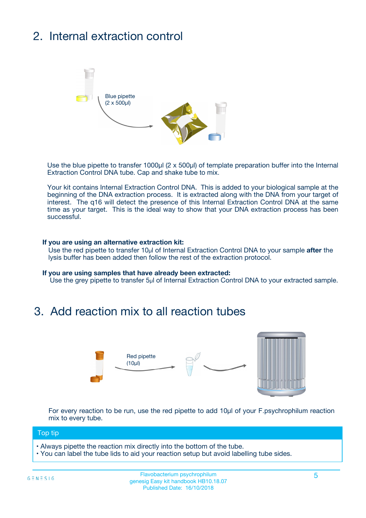# 2. Internal extraction control



Use the blue pipette to transfer 1000µl (2 x 500µl) of template preparation buffer into the Internal Extraction Control DNA tube. Cap and shake tube to mix.

Your kit contains Internal Extraction Control DNA. This is added to your biological sample at the beginning of the DNA extraction process. It is extracted along with the DNA from your target of interest. The q16 will detect the presence of this Internal Extraction Control DNA at the same time as your target. This is the ideal way to show that your DNA extraction process has been successful.

#### **If you are using an alternative extraction kit:**

Use the red pipette to transfer 10µl of Internal Extraction Control DNA to your sample **after** the lysis buffer has been added then follow the rest of the extraction protocol.

#### **If you are using samples that have already been extracted:**

Use the grey pipette to transfer 5µl of Internal Extraction Control DNA to your extracted sample.

## 3. Add reaction mix to all reaction tubes



For every reaction to be run, use the red pipette to add 10µl of your F.psychrophilum reaction mix to every tube.

#### Top tip

- Always pipette the reaction mix directly into the bottom of the tube.
- You can label the tube lids to aid your reaction setup but avoid labelling tube sides.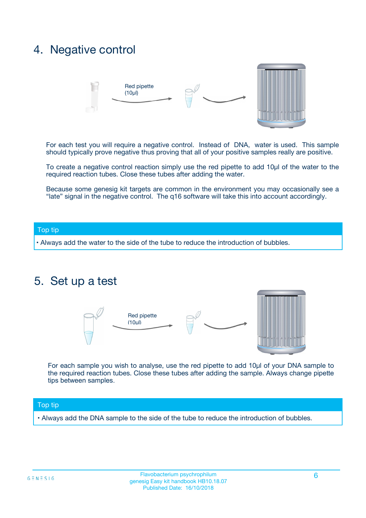## 4. Negative control



For each test you will require a negative control. Instead of DNA, water is used. This sample should typically prove negative thus proving that all of your positive samples really are positive.

To create a negative control reaction simply use the red pipette to add 10µl of the water to the required reaction tubes. Close these tubes after adding the water.

Because some genesig kit targets are common in the environment you may occasionally see a "late" signal in the negative control. The q16 software will take this into account accordingly.

#### Top tip

**•** Always add the water to the side of the tube to reduce the introduction of bubbles.

### 5. Set up a test



For each sample you wish to analyse, use the red pipette to add 10µl of your DNA sample to the required reaction tubes. Close these tubes after adding the sample. Always change pipette tips between samples.

#### Top tip

**•** Always add the DNA sample to the side of the tube to reduce the introduction of bubbles.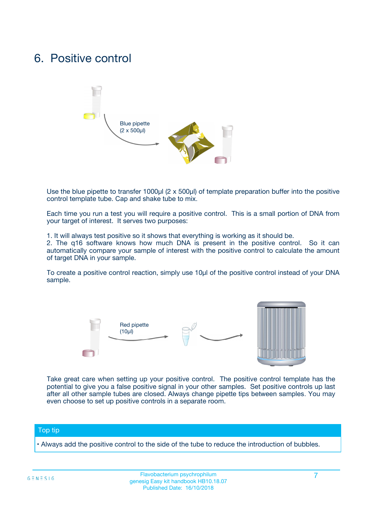## 6. Positive control



Use the blue pipette to transfer 1000µl (2 x 500µl) of template preparation buffer into the positive control template tube. Cap and shake tube to mix.

Each time you run a test you will require a positive control. This is a small portion of DNA from your target of interest. It serves two purposes:

1. It will always test positive so it shows that everything is working as it should be.

2. The q16 software knows how much DNA is present in the positive control. So it can automatically compare your sample of interest with the positive control to calculate the amount of target DNA in your sample.

To create a positive control reaction, simply use 10µl of the positive control instead of your DNA sample.



Take great care when setting up your positive control. The positive control template has the potential to give you a false positive signal in your other samples. Set positive controls up last after all other sample tubes are closed. Always change pipette tips between samples. You may even choose to set up positive controls in a separate room.

#### Top tip

**•** Always add the positive control to the side of the tube to reduce the introduction of bubbles.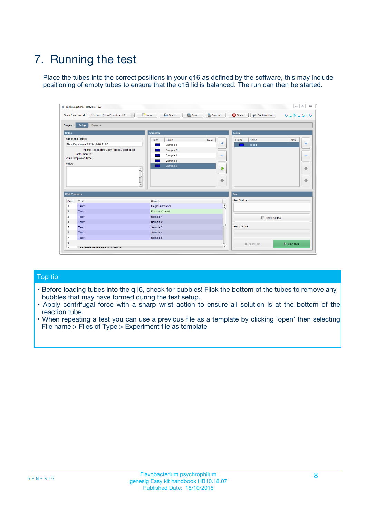# 7. Running the test

Place the tubes into the correct positions in your q16 as defined by the software, this may include positioning of empty tubes to ensure that the q16 lid is balanced. The run can then be started.

|                      | genesig q16 PCR software - 1.2                                               |                                   |                              |                                          | $\begin{array}{c c c c} \hline \multicolumn{3}{c }{\textbf{0}} & \multicolumn{3}{c }{\textbf{0}} \end{array}$<br>$\Sigma\!3$ |
|----------------------|------------------------------------------------------------------------------|-----------------------------------|------------------------------|------------------------------------------|------------------------------------------------------------------------------------------------------------------------------|
|                      | $\vert \cdot \vert$<br><b>Open Experiments:</b><br>Unsaved (New Experiment 2 | Open<br>Save<br>$\frac{1}{2}$ New | Save As                      | <b>C</b> Close<br><b>X</b> Configuration | $G \equiv N \equiv S \mid G$                                                                                                 |
| <b>Stages:</b>       | <b>Setup</b><br><b>Results</b>                                               |                                   |                              |                                          |                                                                                                                              |
| <b>Notes</b>         |                                                                              | <b>Samples</b>                    |                              | <b>Tests</b>                             |                                                                                                                              |
|                      | <b>Name and Details</b>                                                      | Color<br>Name                     | Note                         | Color<br>Name                            | Note                                                                                                                         |
|                      | New Experiment 2017-10-26 11:06                                              | Sample 1                          | ÷                            | Test 1                                   | ÷                                                                                                                            |
|                      | Kit type: genesig® Easy Target Detection kit                                 | Sample 2                          |                              |                                          |                                                                                                                              |
|                      | Instrument Id.:                                                              | Sample 3                          | $\qquad \qquad \blacksquare$ |                                          | $\qquad \qquad \blacksquare$                                                                                                 |
|                      | <b>Run Completion Time:</b>                                                  | Sample 4                          |                              |                                          |                                                                                                                              |
| <b>Notes</b>         |                                                                              | Sample 5                          |                              |                                          |                                                                                                                              |
|                      | <b>A</b>                                                                     |                                   | ♦                            |                                          | 4                                                                                                                            |
|                      |                                                                              |                                   |                              |                                          |                                                                                                                              |
|                      |                                                                              |                                   | ÷                            |                                          | ₩                                                                                                                            |
|                      | v                                                                            |                                   |                              |                                          |                                                                                                                              |
| <b>Well Contents</b> |                                                                              |                                   |                              | Run                                      |                                                                                                                              |
| Pos.                 | Test                                                                         | Sample                            |                              | <b>Run Status</b>                        |                                                                                                                              |
| $\mathbf{1}$         | Test 1                                                                       | Negative Control                  | $\blacktriangle$             |                                          |                                                                                                                              |
| $\overline{2}$       | Test 1                                                                       | <b>Positive Control</b>           |                              |                                          |                                                                                                                              |
| 3                    | Test 1                                                                       | Sample 1                          |                              | Show full log                            |                                                                                                                              |
| 4                    | Test 1                                                                       | Sample 2                          |                              |                                          |                                                                                                                              |
| 5                    | Test 1                                                                       | Sample 3                          |                              | <b>Run Control</b>                       |                                                                                                                              |
| 6                    | Test 1                                                                       | Sample 4                          |                              |                                          |                                                                                                                              |
| $\overline{7}$       | Test 1                                                                       | Sample 5                          |                              |                                          |                                                                                                                              |
| 8                    |                                                                              |                                   |                              | Abort Run                                | $\triangleright$ Start Run                                                                                                   |
|                      |                                                                              |                                   | $\boldsymbol{\mathrm{v}}$    |                                          |                                                                                                                              |

#### Top tip

- Before loading tubes into the q16, check for bubbles! Flick the bottom of the tubes to remove any bubbles that may have formed during the test setup.
- Apply centrifugal force with a sharp wrist action to ensure all solution is at the bottom of the reaction tube.
- When repeating a test you can use a previous file as a template by clicking 'open' then selecting File name > Files of Type > Experiment file as template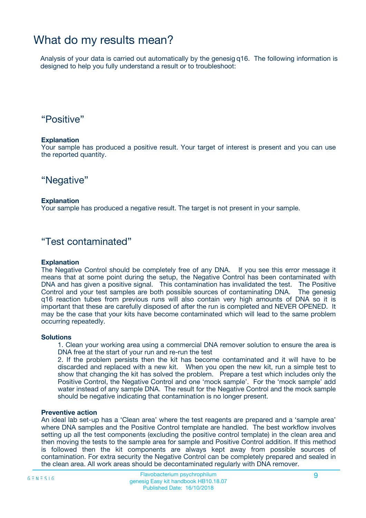## What do my results mean?

Analysis of your data is carried out automatically by the genesig q16. The following information is designed to help you fully understand a result or to troubleshoot:

### "Positive"

#### **Explanation**

Your sample has produced a positive result. Your target of interest is present and you can use the reported quantity.

"Negative"

#### **Explanation**

Your sample has produced a negative result. The target is not present in your sample.

### "Test contaminated"

#### **Explanation**

The Negative Control should be completely free of any DNA. If you see this error message it means that at some point during the setup, the Negative Control has been contaminated with DNA and has given a positive signal. This contamination has invalidated the test. The Positive Control and your test samples are both possible sources of contaminating DNA. The genesig q16 reaction tubes from previous runs will also contain very high amounts of DNA so it is important that these are carefully disposed of after the run is completed and NEVER OPENED. It may be the case that your kits have become contaminated which will lead to the same problem occurring repeatedly.

#### **Solutions**

1. Clean your working area using a commercial DNA remover solution to ensure the area is DNA free at the start of your run and re-run the test

2. If the problem persists then the kit has become contaminated and it will have to be discarded and replaced with a new kit. When you open the new kit, run a simple test to show that changing the kit has solved the problem. Prepare a test which includes only the Positive Control, the Negative Control and one 'mock sample'. For the 'mock sample' add water instead of any sample DNA. The result for the Negative Control and the mock sample should be negative indicating that contamination is no longer present.

#### **Preventive action**

An ideal lab set-up has a 'Clean area' where the test reagents are prepared and a 'sample area' where DNA samples and the Positive Control template are handled. The best workflow involves setting up all the test components (excluding the positive control template) in the clean area and then moving the tests to the sample area for sample and Positive Control addition. If this method is followed then the kit components are always kept away from possible sources of contamination. For extra security the Negative Control can be completely prepared and sealed in the clean area. All work areas should be decontaminated regularly with DNA remover.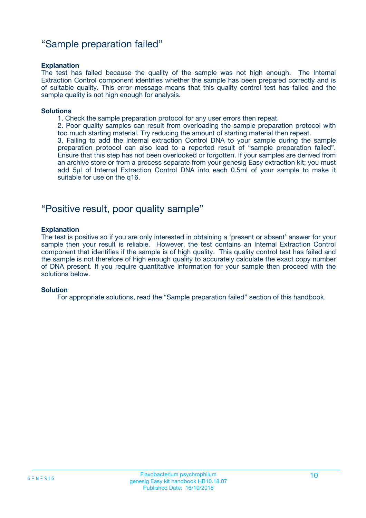### "Sample preparation failed"

#### **Explanation**

The test has failed because the quality of the sample was not high enough. The Internal Extraction Control component identifies whether the sample has been prepared correctly and is of suitable quality. This error message means that this quality control test has failed and the sample quality is not high enough for analysis.

#### **Solutions**

1. Check the sample preparation protocol for any user errors then repeat.

2. Poor quality samples can result from overloading the sample preparation protocol with too much starting material. Try reducing the amount of starting material then repeat.

3. Failing to add the Internal extraction Control DNA to your sample during the sample preparation protocol can also lead to a reported result of "sample preparation failed". Ensure that this step has not been overlooked or forgotten. If your samples are derived from an archive store or from a process separate from your genesig Easy extraction kit; you must add 5µl of Internal Extraction Control DNA into each 0.5ml of your sample to make it suitable for use on the q16.

### "Positive result, poor quality sample"

#### **Explanation**

The test is positive so if you are only interested in obtaining a 'present or absent' answer for your sample then your result is reliable. However, the test contains an Internal Extraction Control component that identifies if the sample is of high quality. This quality control test has failed and the sample is not therefore of high enough quality to accurately calculate the exact copy number of DNA present. If you require quantitative information for your sample then proceed with the solutions below.

#### **Solution**

For appropriate solutions, read the "Sample preparation failed" section of this handbook.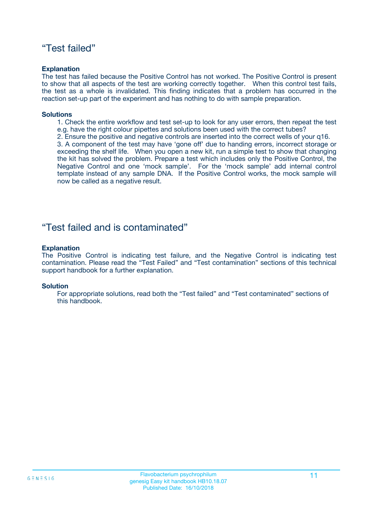### "Test failed"

#### **Explanation**

The test has failed because the Positive Control has not worked. The Positive Control is present to show that all aspects of the test are working correctly together. When this control test fails, the test as a whole is invalidated. This finding indicates that a problem has occurred in the reaction set-up part of the experiment and has nothing to do with sample preparation.

#### **Solutions**

- 1. Check the entire workflow and test set-up to look for any user errors, then repeat the test e.g. have the right colour pipettes and solutions been used with the correct tubes?
- 2. Ensure the positive and negative controls are inserted into the correct wells of your q16.

3. A component of the test may have 'gone off' due to handing errors, incorrect storage or exceeding the shelf life. When you open a new kit, run a simple test to show that changing the kit has solved the problem. Prepare a test which includes only the Positive Control, the Negative Control and one 'mock sample'. For the 'mock sample' add internal control template instead of any sample DNA. If the Positive Control works, the mock sample will now be called as a negative result.

### "Test failed and is contaminated"

#### **Explanation**

The Positive Control is indicating test failure, and the Negative Control is indicating test contamination. Please read the "Test Failed" and "Test contamination" sections of this technical support handbook for a further explanation.

#### **Solution**

For appropriate solutions, read both the "Test failed" and "Test contaminated" sections of this handbook.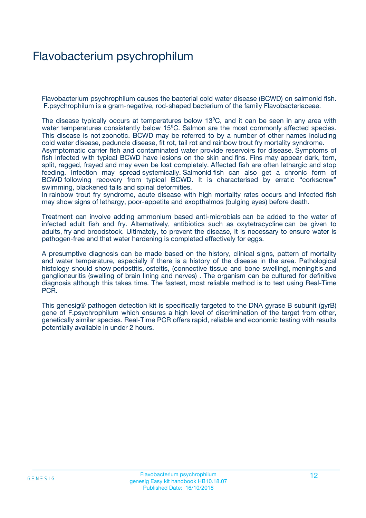## Flavobacterium psychrophilum

Flavobacterium psychrophilum causes the bacterial cold water disease (BCWD) on salmonid fish. F.psychrophilum is a gram-negative, rod-shaped bacterium of the family Flavobacteriaceae.

The disease typically occurs at temperatures below 13<sup>o</sup>C, and it can be seen in any area with water temperatures consistently below 15<sup>o</sup>C. Salmon are the most commonly affected species. This disease is not zoonotic. BCWD may be referred to by a number of other names including cold water disease, peduncle disease, fit rot, tail rot and rainbow trout fry mortality syndrome. Asymptomatic carrier fish and contaminated water provide reservoirs for disease. Symptoms of fish infected with typical BCWD have lesions on the skin and fins. Fins may appear dark, torn, split, ragged, frayed and may even be lost completely. Affected fish are often lethargic and stop feeding. Infection may spread systemically. Salmonid fish can also get a chronic form of BCWD following recovery from typical BCWD. It is characterised by erratic "corkscrew" swimming, blackened tails and spinal deformities.

In rainbow trout fry syndrome, acute disease with high mortality rates occurs and infected fish may show signs of lethargy, poor-appetite and exopthalmos (bulging eyes) before death.

Treatment can involve adding ammonium based anti-microbials can be added to the water of infected adult fish and fry. Alternatively, antibiotics such as oxytetracycline can be given to adults, fry and broodstock. Ultimately, to prevent the disease, it is necessary to ensure water is pathogen-free and that water hardening is completed effectively for eggs.

A presumptive diagnosis can be made based on the history, clinical signs, pattern of mortality and water temperature, especially if there is a history of the disease in the area. Pathological histology should show periostitis, osteitis, (connective tissue and bone swelling), meningitis and ganglioneuritis (swelling of brain lining and nerves) . The organism can be cultured for definitive diagnosis although this takes time. The fastest, most reliable method is to test using Real-Time PCR.

This genesig® pathogen detection kit is specifically targeted to the DNA gyrase B subunit (gyrB) gene of F.psychrophilum which ensures a high level of discrimination of the target from other, genetically similar species. Real-Time PCR offers rapid, reliable and economic testing with results potentially available in under 2 hours.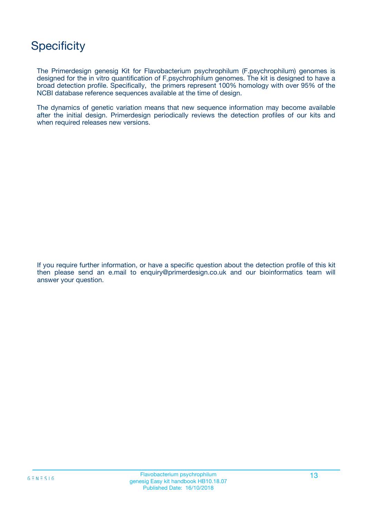## **Specificity**

The Primerdesign genesig Kit for Flavobacterium psychrophilum (F.psychrophilum) genomes is designed for the in vitro quantification of F.psychrophilum genomes. The kit is designed to have a broad detection profile. Specifically, the primers represent 100% homology with over 95% of the NCBI database reference sequences available at the time of design.

The dynamics of genetic variation means that new sequence information may become available after the initial design. Primerdesign periodically reviews the detection profiles of our kits and when required releases new versions.

If you require further information, or have a specific question about the detection profile of this kit then please send an e.mail to enquiry@primerdesign.co.uk and our bioinformatics team will answer your question.